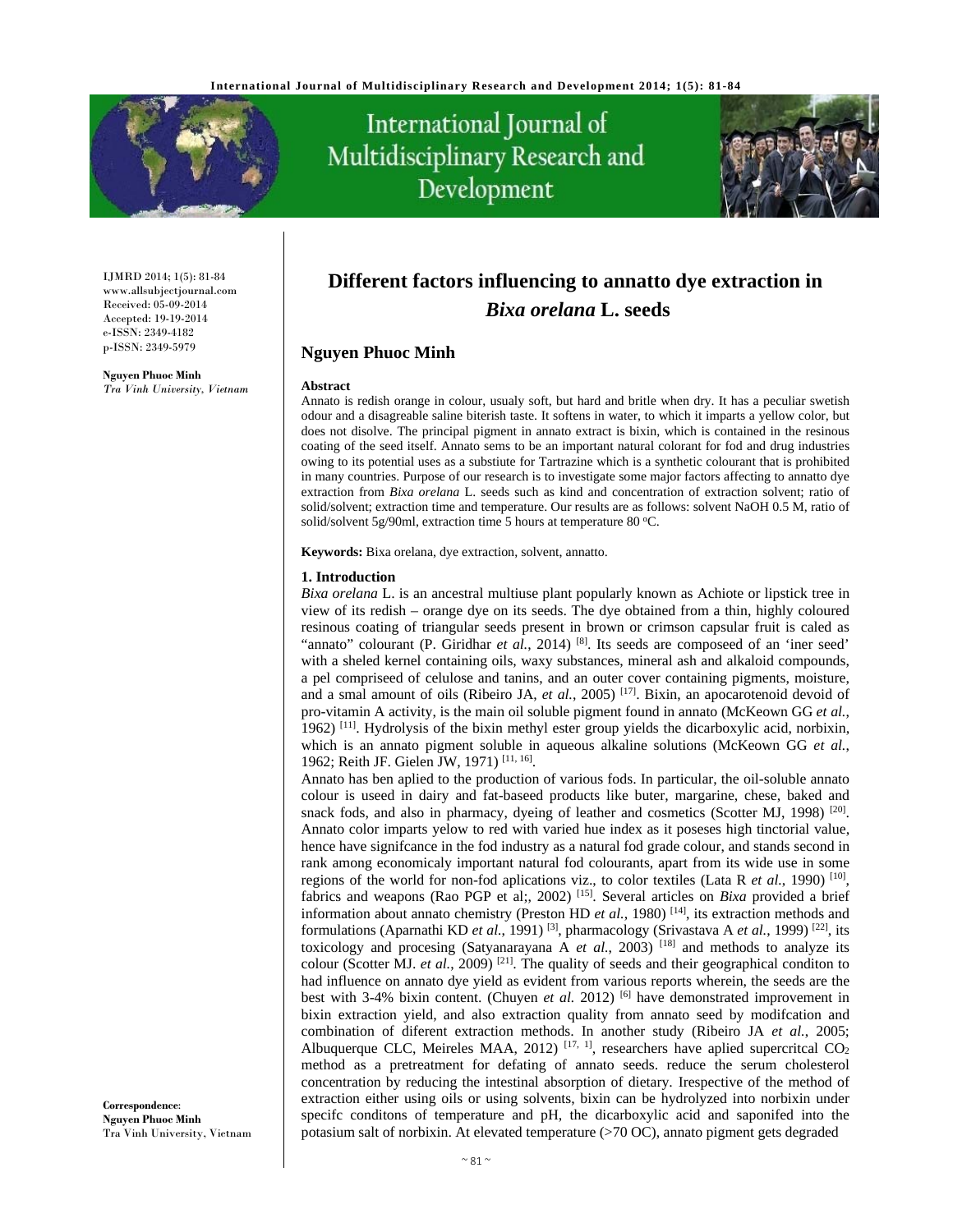

# International Journal of Multidisciplinary Research and Development



IJMRD 2014; 1(5): 81-84 www.allsubjectjournal.com Received: 05-09-2014 Accepted: 19-19-2014 e-ISSN: 2349-4182 p-ISSN: 2349-5979

**Nguyen Phuoc Minh** *Tra Vinh University, Vietnam* 

# **Different factors influencing to annatto dye extraction in**  *Bixa orelana* **L. seeds**

# **Nguyen Phuoc Minh**

#### **Abstract**

Annato is redish orange in colour, usualy soft, but hard and britle when dry. It has a peculiar swetish odour and a disagreable saline biterish taste. It softens in water, to which it imparts a yellow color, but does not disolve. The principal pigment in annato extract is bixin, which is contained in the resinous coating of the seed itself. Annato sems to be an important natural colorant for fod and drug industries owing to its potential uses as a substiute for Tartrazine which is a synthetic colourant that is prohibited in many countries. Purpose of our research is to investigate some major factors affecting to annatto dye extraction from *Bixa orelana* L. seeds such as kind and concentration of extraction solvent; ratio of solid/solvent; extraction time and temperature. Our results are as follows: solvent NaOH 0.5 M, ratio of solid/solvent 5g/90ml, extraction time 5 hours at temperature 80  $°C$ .

**Keywords:** Bixa orelana, dye extraction, solvent, annatto.

#### **1. Introduction**

*Bixa orelana* L. is an ancestral multiuse plant popularly known as Achiote or lipstick tree in view of its redish – orange dye on its seeds. The dye obtained from a thin, highly coloured resinous coating of triangular seeds present in brown or crimson capsular fruit is caled as "annato" colourant (P. Giridhar *et al.*, 2014) [8]. Its seeds are composeed of an 'iner seed' with a sheled kernel containing oils, waxy substances, mineral ash and alkaloid compounds, a pel compriseed of celulose and tanins, and an outer cover containing pigments, moisture, and a smal amount of oils (Ribeiro JA, *et al.*, 2005) [17]. Bixin, an apocarotenoid devoid of pro-vitamin A activity, is the main oil soluble pigment found in annato (McKeown GG *et al.*, 1962)  $[11]$ . Hydrolysis of the bixin methyl ester group yields the dicarboxylic acid, norbixin, which is an annato pigment soluble in aqueous alkaline solutions (McKeown GG *et al.*, 1962; Reith JF. Gielen JW, 1971) [11, 16].

Annato has ben aplied to the production of various fods. In particular, the oil-soluble annato colour is useed in dairy and fat-baseed products like buter, margarine, chese, baked and snack fods, and also in pharmacy, dyeing of leather and cosmetics (Scotter MJ, 1998)<sup>[20]</sup>. Annato color imparts yelow to red with varied hue index as it poseses high tinctorial value, hence have signifcance in the fod industry as a natural fod grade colour, and stands second in rank among economicaly important natural fod colourants, apart from its wide use in some regions of the world for non-fod aplications viz., to color textiles (Lata R *et al.*, 1990) [10], fabrics and weapons (Rao PGP et al;, 2002) [15]. Several articles on *Bixa* provided a brief information about annato chemistry (Preston HD *et al.*, 1980) [14], its extraction methods and formulations (Aparnathi KD *et al.*, 1991) [3], pharmacology (Srivastava A *et al.*, 1999) [22], its toxicology and procesing (Satyanarayana A *et al.*, 2003)<sup>[18]</sup> and methods to analyze its colour (Scotter MJ. *et al.*, 2009)<sup>[21]</sup>. The quality of seeds and their geographical conditon to had influence on annato dye yield as evident from various reports wherein, the seeds are the best with 3-4% bixin content. (Chuyen *et al.* 2012) [6] have demonstrated improvement in bixin extraction yield, and also extraction quality from annato seed by modifcation and combination of diferent extraction methods. In another study (Ribeiro JA *et al.*, 2005; Albuquerque CLC, Meireles MAA, 2012)<sup>[17, 1]</sup>, researchers have aplied supercritcal  $CO<sub>2</sub>$ method as a pretreatment for defating of annato seeds. reduce the serum cholesterol concentration by reducing the intestinal absorption of dietary. Irespective of the method of extraction either using oils or using solvents, bixin can be hydrolyzed into norbixin under specifc conditons of temperature and pH, the dicarboxylic acid and saponifed into the potasium salt of norbixin. At elevated temperature (>70 OC), annato pigment gets degraded

**Correspondence**: **Nguyen Phuoc Minh** Tra Vinh University, Vietnam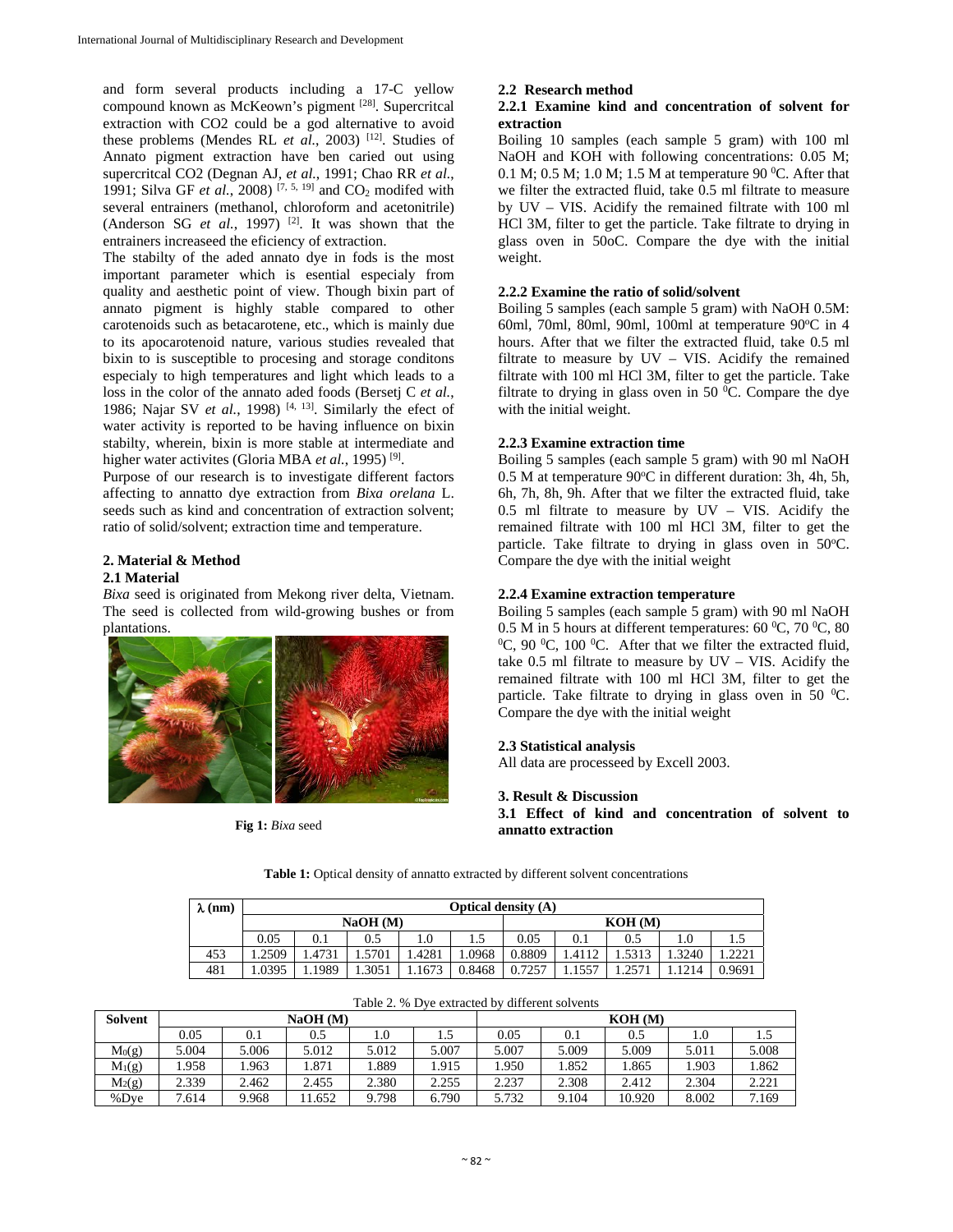and form several products including a 17-C yellow compound known as McKeown's pigment [28]. Supercritcal extraction with CO2 could be a god alternative to avoid these problems (Mendes RL *et al.*, 2003) <sup>[12]</sup>. Studies of Annato pigment extraction have ben caried out using supercritcal CO2 (Degnan AJ, *et al.*, 1991; Chao RR *et al.*, 1991; Silva GF *et al.*, 2008)<sup>[7, 5, 19]</sup> and  $CO_2$  modifed with several entrainers (methanol, chloroform and acetonitrile) (Anderson SG  $et$  al., 1997)<sup>[2]</sup>. It was shown that the entrainers increaseed the eficiency of extraction.

The stabilty of the aded annato dye in fods is the most important parameter which is esential especialy from quality and aesthetic point of view. Though bixin part of annato pigment is highly stable compared to other carotenoids such as betacarotene, etc., which is mainly due to its apocarotenoid nature, various studies revealed that bixin to is susceptible to procesing and storage conditons especialy to high temperatures and light which leads to a loss in the color of the annato aded foods (Bersetj C *et al.*, 1986; Najar SV *et al.*, 1998)<sup>[4, 13]</sup>. Similarly the efect of water activity is reported to be having influence on bixin stabilty, wherein, bixin is more stable at intermediate and higher water activites (Gloria MBA *et al.*, 1995)<sup>[9]</sup>.

Purpose of our research is to investigate different factors affecting to annatto dye extraction from *Bixa orelana* L. seeds such as kind and concentration of extraction solvent; ratio of solid/solvent; extraction time and temperature.

#### **2. Material & Method 2.1 Material**

*Bixa* seed is originated from Mekong river delta, Vietnam. The seed is collected from wild-growing bushes or from plantations.



**Fig 1:** *Bixa* seed

# **2.2 Research method**

#### **2.2.1 Examine kind and concentration of solvent for extraction**

Boiling 10 samples (each sample 5 gram) with 100 ml NaOH and KOH with following concentrations: 0.05 M; 0.1 M; 0.5 M; 1.0 M; 1.5 M at temperature 90  $^0C$ . After that we filter the extracted fluid, take 0.5 ml filtrate to measure by UV – VIS. Acidify the remained filtrate with 100 ml HCl 3M, filter to get the particle. Take filtrate to drying in glass oven in 50oC. Compare the dye with the initial weight.

# **2.2.2 Examine the ratio of solid/solvent**

Boiling 5 samples (each sample 5 gram) with NaOH 0.5M: 60ml, 70ml, 80ml, 90ml, 100ml at temperature 90 $\degree$ C in 4 hours. After that we filter the extracted fluid, take 0.5 ml filtrate to measure by UV – VIS. Acidify the remained filtrate with 100 ml HCl 3M, filter to get the particle. Take filtrate to drying in glass oven in 50 $\mathrm{^{0}C}$ . Compare the dye with the initial weight.

### **2.2.3 Examine extraction time**

Boiling 5 samples (each sample 5 gram) with 90 ml NaOH 0.5 M at temperature 90°C in different duration: 3h, 4h, 5h, 6h, 7h, 8h, 9h. After that we filter the extracted fluid, take 0.5 ml filtrate to measure by UV – VIS. Acidify the remained filtrate with 100 ml HCl 3M, filter to get the particle. Take filtrate to drying in glass oven in 50°C. Compare the dye with the initial weight

### **2.2.4 Examine extraction temperature**

Boiling 5 samples (each sample 5 gram) with 90 ml NaOH 0.5 M in 5 hours at different temperatures: 60 °C, 70 °C, 80<br>
°C, 90 °C, 100 °C, After that we filter the extracted fluid C, 90 $\mathrm{^0C}$ , 100 $\mathrm{^0C}$ . After that we filter the extracted fluid, take 0.5 ml filtrate to measure by UV – VIS. Acidify the remained filtrate with 100 ml HCl 3M, filter to get the particle. Take filtrate to drying in glass oven in 50  $^0$ C. Compare the dye with the initial weight

# **2.3 Statistical analysis**

All data are processeed by Excell 2003.

# **3. Result & Discussion**

**3.1 Effect of kind and concentration of solvent to annatto extraction** 

| $\lambda$ (nm) |         | <b>Optical density (A)</b> |        |       |        |         |       |       |       |        |
|----------------|---------|----------------------------|--------|-------|--------|---------|-------|-------|-------|--------|
|                | NaOH(M) |                            |        |       |        | KOH (M) |       |       |       |        |
|                | 0.05    | 0.1                        | 0.5    |       | ر. 1   | 0.05    | 0.1   |       | 1.0   |        |
| 453            | .2509   | 1.4731                     | 5701   | .4281 | 1.0968 | 0.8809  | .4112 | .5313 | .3240 | 2221   |
| 481            | .0395   | .1989ء                     | 1.3051 | 1673  | 0.8468 | 0.7257  |       |       | 1214  | 0.9691 |

 $T$  D  $\overline{D}$   $\overline{D}$   $\overline{D}$   $\overline{D}$   $\overline{D}$   $\overline{D}$   $\overline{D}$   $\overline{D}$   $\overline{D}$   $\overline{D}$   $\overline{D}$   $\overline{D}$   $\overline{D}$   $\overline{D}$   $\overline{D}$   $\overline{D}$   $\overline{D}$   $\overline{D}$   $\overline{D}$   $\overline{D}$   $\overline{D}$   $\overline{D}$   $\overline{D}$   $\overline{D}$ 

**Table 1:** Optical density of annatto extracted by different solvent concentrations

|                    | Table 2. % Dve extracted by different solvents |                     |       |       |       |       |       |        |       |       |  |
|--------------------|------------------------------------------------|---------------------|-------|-------|-------|-------|-------|--------|-------|-------|--|
| <b>Solvent</b>     |                                                | NaOH (M)<br>KOH (M) |       |       |       |       |       |        |       |       |  |
|                    | 0.05                                           |                     | 0.5   | 1.0   |       | 0.05  | 0.1   | 0.5    | 1.0   | ر. 1  |  |
| M <sub>0</sub> (g) | 5.004                                          | 5.006               | 5.012 | 5.012 | 5.007 | 5.007 | 5.009 | 5.009  | 5.011 | 5.008 |  |
| $M_1(g)$           | 1.958                                          | .963                | .871  | .889  | 1.915 | .950  | 1.852 | .865   | 1.903 | 1.862 |  |
| $M_2(g)$           | 2.339                                          | 2.462               | 2.455 | 2.380 | 2.255 | 2.237 | 2.308 | 2.412  | 2.304 | 2.221 |  |
| %Dye               | 7.614                                          | 9.968               | .652  | 9.798 | 6.790 | 5.732 | 9.104 | 10.920 | 8.002 | 7.169 |  |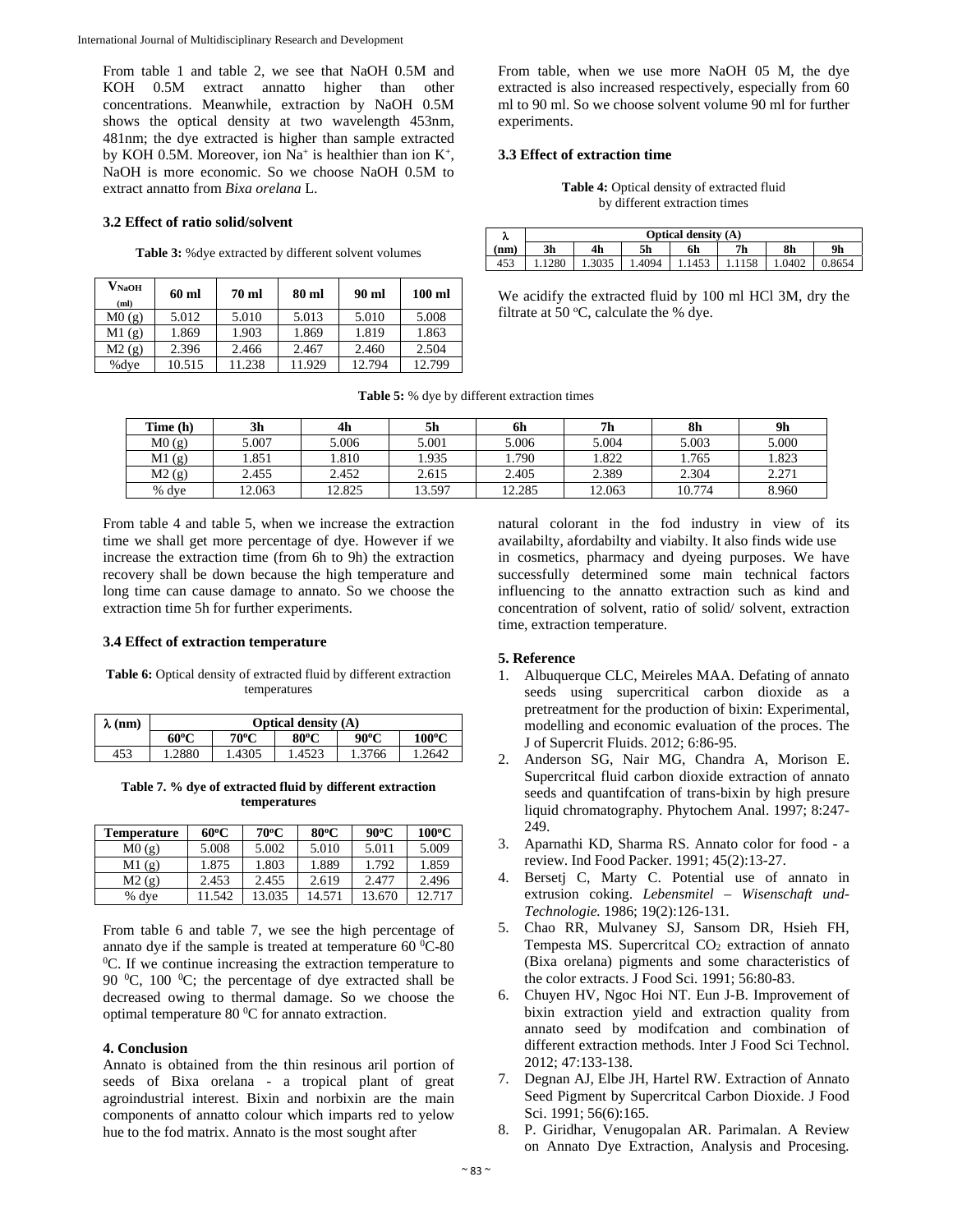From table 1 and table 2, we see that NaOH 0.5M and KOH 0.5M extract annatto higher than other concentrations. Meanwhile, extraction by NaOH 0.5M shows the optical density at two wavelength 453nm, 481nm; the dye extracted is higher than sample extracted by KOH 0.5M. Moreover, ion  $Na^+$  is healthier than ion  $K^+$ , NaOH is more economic. So we choose NaOH 0.5M to extract annatto from *Bixa orelana* L.

#### **3.2 Effect of ratio solid/solvent**

**Table 3:** %dye extracted by different solvent volumes

| $\mathbf{V_{NaOH}}$<br>(ml) | 60 ml  | 70 ml  | $80$ ml | 90 ml  | $100$ ml |
|-----------------------------|--------|--------|---------|--------|----------|
| M(0(g))                     | 5.012  | 5.010  | 5.013   | 5.010  | 5.008    |
| M1(g)                       | 1.869  | 1.903  | 1.869   | 1.819  | 1.863    |
| M2(g)                       | 2.396  | 2.466  | 2.467   | 2.460  | 2.504    |
| %dye                        | 10.515 | 11.238 | 11.929  | 12.794 | 12.799   |

From table, when we use more NaOH 05 M, the dye extracted is also increased respectively, especially from 60 ml to 90 ml. So we choose solvent volume 90 ml for further experiments.

#### **3.3 Effect of extraction time**

**Table 4:** Optical density of extracted fluid by different extraction times

| ∼   |                | <b>Optical density (A)</b> |                |    |                |        |                |  |  |  |
|-----|----------------|----------------------------|----------------|----|----------------|--------|----------------|--|--|--|
| nm) | 3 <sub>h</sub> | 4 <sub>h</sub>             | 5 <sub>h</sub> | 6h | 7 <sub>h</sub> | 8h     | 9 <sub>h</sub> |  |  |  |
| 453 |                | 1.3035                     | . 4094         |    |                | 1.0402 | J.8654         |  |  |  |

We acidify the extracted fluid by 100 ml HCl 3M, dry the filtrate at 50  $\mathrm{^{\circ}C}$ , calculate the % dye.

| <b>Table 5:</b> % dye by different extraction times |  |  |  |  |  |  |
|-----------------------------------------------------|--|--|--|--|--|--|
|-----------------------------------------------------|--|--|--|--|--|--|

| Time (h) | 3h     | 4 <sub>h</sub> | 5h     | 6h     | 7h     | 8h     | 9h    |
|----------|--------|----------------|--------|--------|--------|--------|-------|
| M(0)     | 5.007  | 5.006          | 5.001  | 5.006  | 5.004  | 5.003  | 5.000 |
| M1(g)    | .851   | .810           | 1.935  | .790   | .822   | 1.765  | 1.823 |
| M2(g)    | 2.455  | 2.452          | 2.615  | 2.405  | 2.389  | 2.304  | 2.271 |
| % dve    | 12.063 | 12.825         | 13.597 | 12.285 | 12.063 | 10.774 | 8.960 |

From table 4 and table 5, when we increase the extraction time we shall get more percentage of dye. However if we increase the extraction time (from 6h to 9h) the extraction recovery shall be down because the high temperature and long time can cause damage to annato. So we choose the extraction time 5h for further experiments.

#### **3.4 Effect of extraction temperature**

Table 6: Optical density of extracted fluid by different extraction temperatures

| $\lambda$ (nm) | <b>Optical density (A)</b> |       |       |                |                 |  |  |  |  |
|----------------|----------------------------|-------|-------|----------------|-----------------|--|--|--|--|
|                | 60°C                       | 70°C  | 80°C  | $90^{\circ}$ C | $100^{\circ}$ C |  |  |  |  |
| 453            | <b>1.2880</b>              | .4305 | .4523 | 1.3766         | .2642           |  |  |  |  |

**Table 7. % dye of extracted fluid by different extraction temperatures** 

| <b>Temperature</b> | $60^{\circ}$ C | 70°C   | $80^{\circ}$ C | $90^{\circ}$ C | $100^{\circ}$ C |
|--------------------|----------------|--------|----------------|----------------|-----------------|
| M(0(g))            | 5.008          | 5.002  | 5.010          | 5.011          | 5.009           |
| M1(g)              | 1.875          | 1.803  | 1.889          | 1.792          | 1.859           |
| M2(g)              | 2.453          | 2.455  | 2.619          | 2.477          | 2.496           |
| % dye              | 11.542         | 13.035 | 14.571         | 13.670         | 12.717          |

From table 6 and table 7, we see the high percentage of annato dye if the sample is treated at temperature  $60^{\circ}$ C-80<sup>o</sup>C. If we continue increasing the extraction temperature to  ${}^{0}C$ . If we continue increasing the extraction temperature to 90  $^0$ C, 100  $^0$ C; the percentage of dye extracted shall be decreased owing to thermal damage. So we choose the optimal temperature 80  $\rm{^0C}$  for annato extraction.

#### **4. Conclusion**

Annato is obtained from the thin resinous aril portion of seeds of Bixa orelana - a tropical plant of great agroindustrial interest. Bixin and norbixin are the main components of annatto colour which imparts red to yelow hue to the fod matrix. Annato is the most sought after

natural colorant in the fod industry in view of its availabilty, afordabilty and viabilty. It also finds wide use in cosmetics, pharmacy and dyeing purposes. We have successfully determined some main technical factors influencing to the annatto extraction such as kind and concentration of solvent, ratio of solid/ solvent, extraction time, extraction temperature.

#### **5. Reference**

- 1. Albuquerque CLC, Meireles MAA. Defating of annato seeds using supercritical carbon dioxide as a pretreatment for the production of bixin: Experimental, modelling and economic evaluation of the proces. The J of Supercrit Fluids. 2012; 6:86-95.
- 2. Anderson SG, Nair MG, Chandra A, Morison E. Supercritcal fluid carbon dioxide extraction of annato seeds and quantifcation of trans-bixin by high presure liquid chromatography. Phytochem Anal. 1997; 8:247- 249.
- 3. Aparnathi KD, Sharma RS. Annato color for food a review. Ind Food Packer. 1991; 45(2):13-27.
- 4. Bersetj C, Marty C. Potential use of annato in extrusion coking. *Lebensmitel – Wisenschaft und-Technologie.* 1986; 19(2):126-131.
- 5. Chao RR, Mulvaney SJ, Sansom DR, Hsieh FH, Tempesta MS. Supercritcal  $CO<sub>2</sub>$  extraction of annato (Bixa orelana) pigments and some characteristics of the color extracts. J Food Sci*.* 1991; 56:80-83.
- 6. Chuyen HV, Ngoc Hoi NT. Eun J-B. Improvement of bixin extraction yield and extraction quality from annato seed by modifcation and combination of different extraction methods. Inter J Food Sci Technol. 2012; 47:133-138.
- 7. Degnan AJ, Elbe JH, Hartel RW. Extraction of Annato Seed Pigment by Supercritcal Carbon Dioxide. J Food Sci. 1991; 56(6):165.
- 8. P. Giridhar, Venugopalan AR. Parimalan. A Review on Annato Dye Extraction, Analysis and Procesing*.*